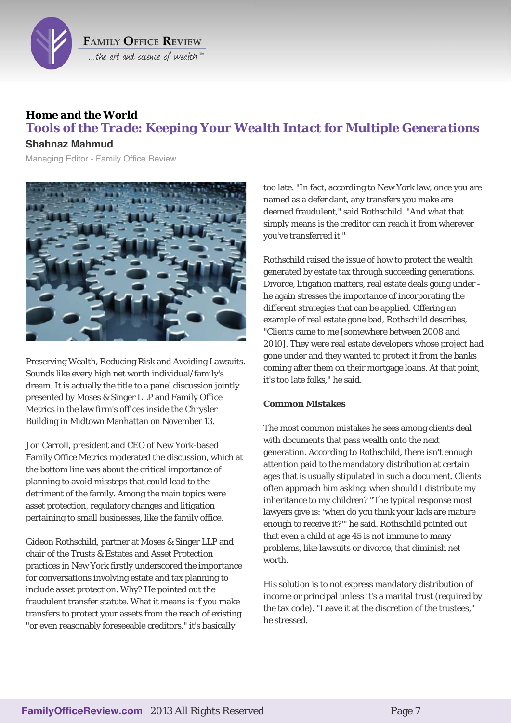

# *Home and the World Tools of the Trade: Keeping Your Wealth Intact for Multiple Generations*

# **Shahnaz Mahmud**

Managing Editor - Family Office Review



Preserving Wealth, Reducing Risk and Avoiding Lawsuits. Sounds like every high net worth individual/family's dream. It is actually the title to a panel discussion jointly presented by Moses & Singer LLP and Family Office Metrics in the law firm's offices inside the Chrysler Building in Midtown Manhattan on November 13.

Jon Carroll, president and CEO of New York-based Family Office Metrics moderated the discussion, which at the bottom line was about the critical importance of planning to avoid missteps that could lead to the detriment of the family. Among the main topics were asset protection, regulatory changes and litigation pertaining to small businesses, like the family office.

Gideon Rothschild, partner at Moses & Singer LLP and chair of the Trusts & Estates and Asset Protection practices in New York firstly underscored the importance for conversations involving estate and tax planning to include asset protection. Why? He pointed out the fraudulent transfer statute. What it means is if you make transfers to protect your assets from the reach of existing "or even reasonably foreseeable creditors," it's basically

too late. "In fact, according to New York law, once you are named as a defendant, any transfers you make are deemed fraudulent," said Rothschild. "And what that simply means is the creditor can reach it from wherever you've transferred it."

Rothschild raised the issue of how to protect the wealth generated by estate tax through succeeding generations. Divorce, litigation matters, real estate deals going under he again stresses the importance of incorporating the different strategies that can be applied. Offering an example of real estate gone bad, Rothschild describes, "Clients came to me [somewhere between 2008 and 2010]. They were real estate developers whose project had gone under and they wanted to protect it from the banks coming after them on their mortgage loans. At that point, it's too late folks," he said.

## **Common Mistakes**

The most common mistakes he sees among clients deal with documents that pass wealth onto the next generation. According to Rothschild, there isn't enough attention paid to the mandatory distribution at certain ages that is usually stipulated in such a document. Clients often approach him asking: when should I distribute my inheritance to my children? "The typical response most lawyers give is: 'when do you think your kids are mature enough to receive it?'" he said. Rothschild pointed out that even a child at age 45 is not immune to many problems, like lawsuits or divorce, that diminish net worth

His solution is to not express mandatory distribution of income or principal unless it's a marital trust (required by the tax code). "Leave it at the discretion of the trustees," he stressed.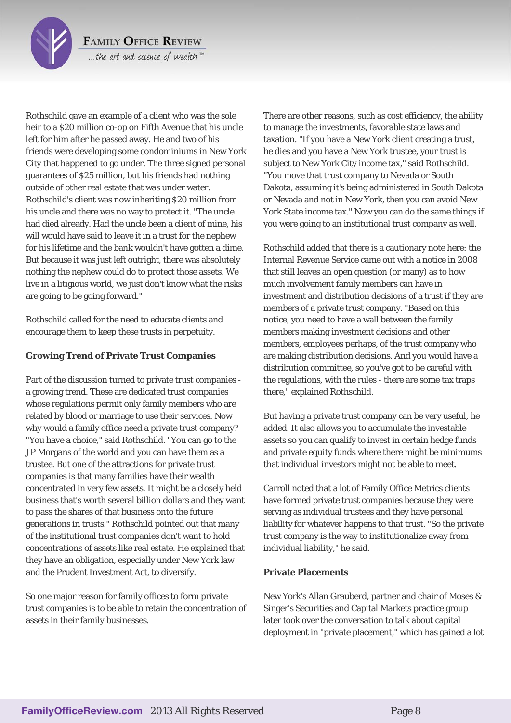

**FAMILY OFFICE REVIEW** ...the art and science of wealth™

Rothschild gave an example of a client who was the sole heir to a \$20 million co-op on Fifth Avenue that his uncle left for him after he passed away. He and two of his friends were developing some condominiums in New York City that happened to go under. The three signed personal guarantees of \$25 million, but his friends had nothing outside of other real estate that was under water. Rothschild's client was now inheriting \$20 million from his uncle and there was no way to protect it. "The uncle had died already. Had the uncle been a client of mine, his will would have said to leave it in a trust for the nephew for his lifetime and the bank wouldn't have gotten a dime. But because it was just left outright, there was absolutely nothing the nephew could do to protect those assets. We live in a litigious world, we just don't know what the risks are going to be going forward."

Rothschild called for the need to educate clients and encourage them to keep these trusts in perpetuity.

# **Growing Trend of Private Trust Companies**

Part of the discussion turned to private trust companies a growing trend. These are dedicated trust companies whose regulations permit only family members who are related by blood or marriage to use their services. Now why would a family office need a private trust company? "You have a choice," said Rothschild. "You can go to the JP Morgans of the world and you can have them as a trustee. But one of the attractions for private trust companies is that many families have their wealth concentrated in very few assets. It might be a closely held business that's worth several billion dollars and they want to pass the shares of that business onto the future generations in trusts." Rothschild pointed out that many of the institutional trust companies don't want to hold concentrations of assets like real estate. He explained that they have an obligation, especially under New York law and the Prudent Investment Act, to diversify.

So one major reason for family offices to form private trust companies is to be able to retain the concentration of assets in their family businesses.

There are other reasons, such as cost efficiency, the ability to manage the investments, favorable state laws and taxation. "If you have a New York client creating a trust, he dies and you have a New York trustee, your trust is subject to New York City income tax," said Rothschild. "You move that trust company to Nevada or South Dakota, assuming it's being administered in South Dakota or Nevada and not in New York, then you can avoid New York State income tax." Now you can do the same things if you were going to an institutional trust company as well.

Rothschild added that there is a cautionary note here: the Internal Revenue Service came out with a notice in 2008 that still leaves an open question (or many) as to how much involvement family members can have in investment and distribution decisions of a trust if they are members of a private trust company. "Based on this notice, you need to have a wall between the family members making investment decisions and other members, employees perhaps, of the trust company who are making distribution decisions. And you would have a distribution committee, so you've got to be careful with the regulations, with the rules - there are some tax traps there," explained Rothschild.

But having a private trust company can be very useful, he added. It also allows you to accumulate the investable assets so you can qualify to invest in certain hedge funds and private equity funds where there might be minimums that individual investors might not be able to meet.

Carroll noted that a lot of Family Office Metrics clients have formed private trust companies because they were serving as individual trustees and they have personal liability for whatever happens to that trust. "So the private trust company is the way to institutionalize away from individual liability," he said.

## **Private Placements**

New York's Allan Grauberd, partner and chair of Moses & Singer's Securities and Capital Markets practice group later took over the conversation to talk about capital deployment in "private placement," which has gained a lot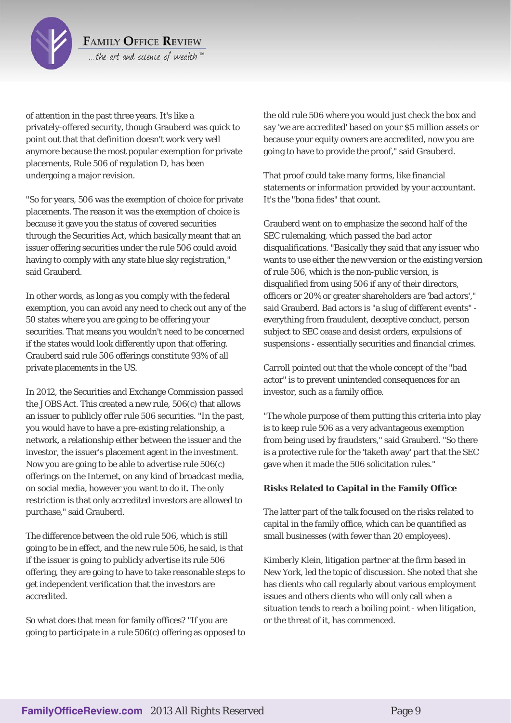

of attention in the past three years. It's like a privately-offered security, though Grauberd was quick to point out that that definition doesn't work very well anymore because the most popular exemption for private placements, Rule 506 of regulation D, has been undergoing a major revision.

"So for years, 506 was the exemption of choice for private placements. The reason it was the exemption of choice is because it gave you the status of covered securities through the Securities Act, which basically meant that an issuer offering securities under the rule 506 could avoid having to comply with any state blue sky registration," said Grauberd.

In other words, as long as you comply with the federal exemption, you can avoid any need to check out any of the 50 states where you are going to be offering your securities. That means you wouldn't need to be concerned if the states would look differently upon that offering. Grauberd said rule 506 offerings constitute 93% of all private placements in the US.

In 2012, the Securities and Exchange Commission passed the JOBS Act. This created a new rule, 506(c) that allows an issuer to publicly offer rule 506 securities. "In the past, you would have to have a pre-existing relationship, a network, a relationship either between the issuer and the investor, the issuer's placement agent in the investment. Now you are going to be able to advertise rule 506(c) offerings on the Internet, on any kind of broadcast media, on social media, however you want to do it. The only restriction is that only accredited investors are allowed to purchase," said Grauberd.

The difference between the old rule 506, which is still going to be in effect, and the new rule 506, he said, is that if the issuer is going to publicly advertise its rule 506 offering, they are going to have to take reasonable steps to get independent verification that the investors are accredited.

So what does that mean for family offices? "If you are going to participate in a rule 506(c) offering as opposed to the old rule 506 where you would just check the box and say 'we are accredited' based on your \$5 million assets or because your equity owners are accredited, now you are going to have to provide the proof," said Grauberd.

That proof could take many forms, like financial statements or information provided by your accountant. It's the "bona fides" that count.

Grauberd went on to emphasize the second half of the SEC rulemaking, which passed the bad actor disqualifications. "Basically they said that any issuer who wants to use either the new version or the existing version of rule 506, which is the non-public version, is disqualified from using 506 if any of their directors, officers or 20% or greater shareholders are 'bad actors'," said Grauberd. Bad actors is "a slug of different events" everything from fraudulent, deceptive conduct, person subject to SEC cease and desist orders, expulsions of suspensions - essentially securities and financial crimes.

Carroll pointed out that the whole concept of the "bad actor" is to prevent unintended consequences for an investor, such as a family office.

"The whole purpose of them putting this criteria into play is to keep rule 506 as a very advantageous exemption from being used by fraudsters," said Grauberd. "So there is a protective rule for the 'taketh away' part that the SEC gave when it made the 506 solicitation rules."

## **Risks Related to Capital in the Family Office**

The latter part of the talk focused on the risks related to capital in the family office, which can be quantified as small businesses (with fewer than 20 employees).

Kimberly Klein, litigation partner at the firm based in New York, led the topic of discussion. She noted that she has clients who call regularly about various employment issues and others clients who will only call when a situation tends to reach a boiling point - when litigation, or the threat of it, has commenced.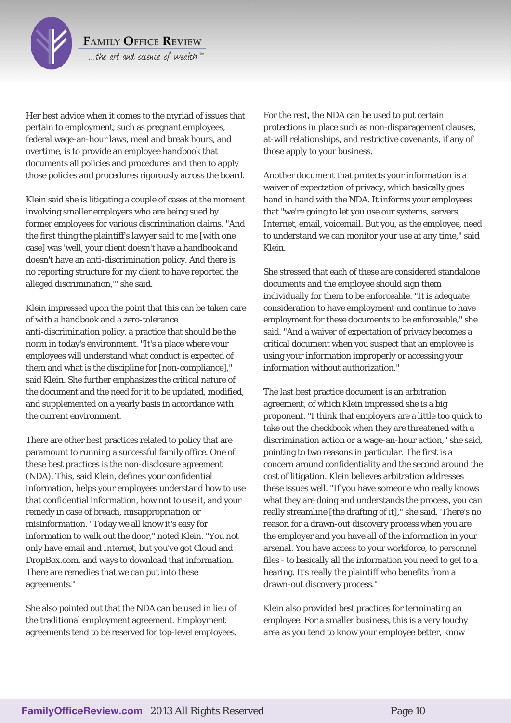

...the art and science of wealth™

Her best advice when it comes to the myriad of issues that pertain to employment, such as pregnant employees, federal wage-an-hour laws, meal and break hours, and overtime, is to provide an employee handbook that documents all policies and procedures and then to apply those policies and procedures rigorously across the board.

Klein said she is litigating a couple of cases at the moment involving smaller employers who are being sued by former employees for various discrimination claims. "And the first thing the plaintiff's lawyer said to me [with one case] was 'well, your client doesn't have a handbook and doesn't have an anti-discrimination policy. And there is no reporting structure for my client to have reported the alleged discrimination,'" she said.

Klein impressed upon the point that this can be taken care of with a handbook and a zero-tolerance anti-discrimination policy, a practice that should be the norm in today's environment. "It's a place where your employees will understand what conduct is expected of them and what is the discipline for [non-compliance]," said Klein. She further emphasizes the critical nature of the document and the need for it to be updated, modified, and supplemented on a yearly basis in accordance with the current environment.

There are other best practices related to policy that are paramount to running a successful family office. One of these best practices is the non-disclosure agreement (NDA). This, said Klein, defines your confidential information, helps your employees understand how to use that confidential information, how not to use it, and your remedy in case of breach, misappropriation or misinformation. "Today we all know it's easy for information to walk out the door," noted Klein. "You not only have email and Internet, but you've got Cloud and DropBox.com, and ways to download that information. There are remedies that we can put into these agreements."

She also pointed out that the NDA can be used in lieu of the traditional employment agreement. Employment agreements tend to be reserved for top-level employees. For the rest, the NDA can be used to put certain protections in place such as non-disparagement clauses, at-will relationships, and restrictive covenants, if any of those apply to your business.

Another document that protects your information is a waiver of expectation of privacy, which basically goes hand in hand with the NDA. It informs your employees that "we're going to let you use our systems, servers, Internet, email, voicemail. But you, as the employee, need to understand we can monitor your use at any time," said Klein.

She stressed that each of these are considered standalone documents and the employee should sign them individually for them to be enforceable. "It is adequate consideration to have employment and continue to have employment for these documents to be enforceable," she said. "And a waiver of expectation of privacy becomes a critical document when you suspect that an employee is using your information improperly or accessing your information without authorization."

The last best practice document is an arbitration agreement, of which Klein impressed she is a big proponent. "I think that employers are a little too quick to take out the checkbook when they are threatened with a discrimination action or a wage-an-hour action," she said, pointing to two reasons in particular. The first is a concern around confidentiality and the second around the cost of litigation. Klein believes arbitration addresses these issues well. "If you have someone who really knows what they are doing and understands the process, you can really streamline [the drafting of it]," she said. 'There's no reason for a drawn-out discovery process when you are the employer and you have all of the information in your arsenal. You have access to your workforce, to personnel files - to basically all the information you need to get to a hearing. It's really the plaintiff who benefits from a drawn-out discovery process."

Klein also provided best practices for terminating an employee. For a smaller business, this is a very touchy area as you tend to know your employee better, know